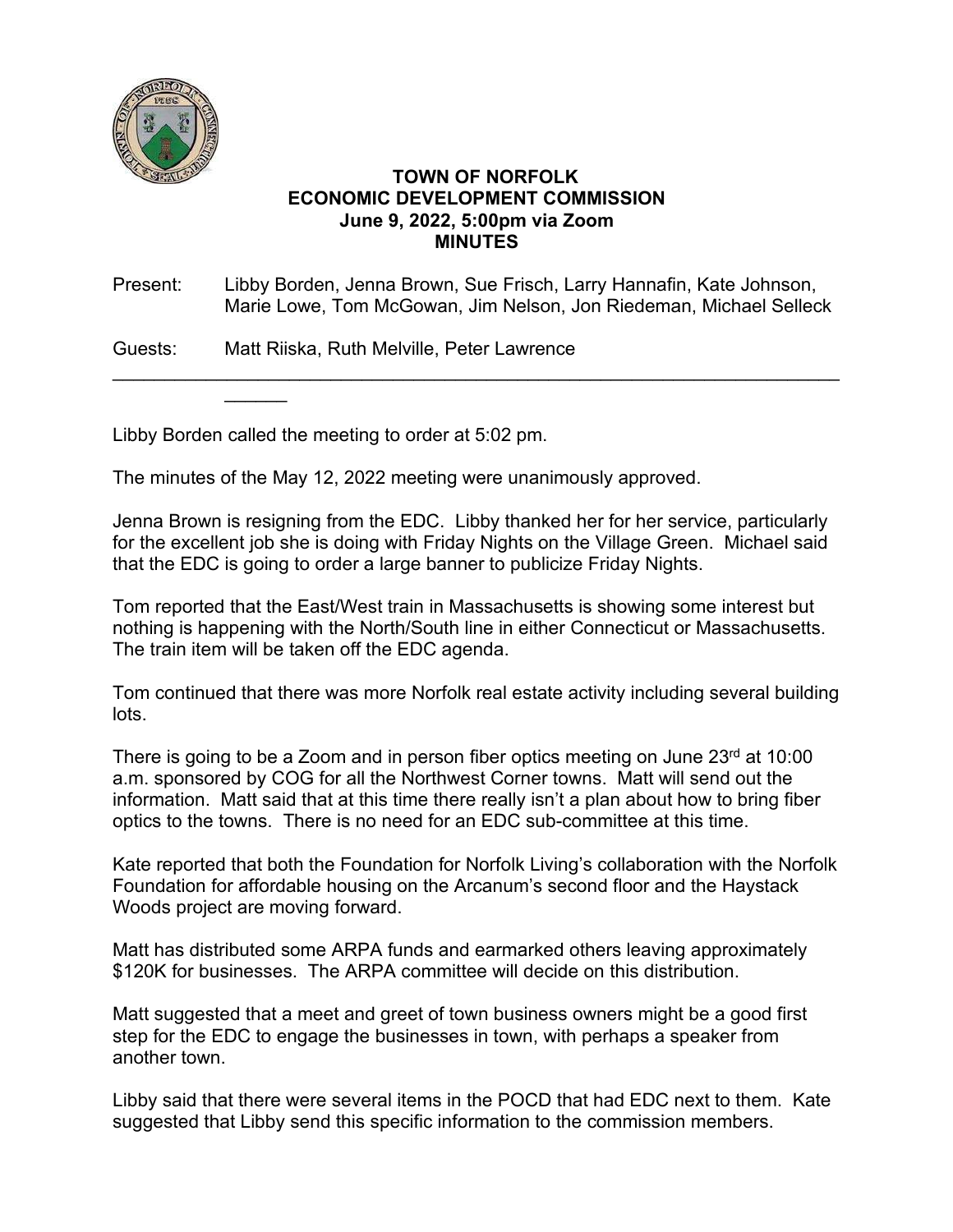

## **TOWN OF NORFOLK ECONOMIC DEVELOPMENT COMMISSION June 9, 2022, 5:00pm via Zoom MINUTES**

Present: Libby Borden, Jenna Brown, Sue Frisch, Larry Hannafin, Kate Johnson, Marie Lowe, Tom McGowan, Jim Nelson, Jon Riedeman, Michael Selleck

\_\_\_\_\_\_\_\_\_\_\_\_\_\_\_\_\_\_\_\_\_\_\_\_\_\_\_\_\_\_\_\_\_\_\_\_\_\_\_\_\_\_\_\_\_\_\_\_\_\_\_\_\_\_\_\_\_\_\_\_\_\_\_\_\_\_\_\_\_\_

Guests: Matt Riiska, Ruth Melville, Peter Lawrence

Libby Borden called the meeting to order at 5:02 pm.

 $\overline{\phantom{a}}$ 

The minutes of the May 12, 2022 meeting were unanimously approved.

Jenna Brown is resigning from the EDC. Libby thanked her for her service, particularly for the excellent job she is doing with Friday Nights on the Village Green. Michael said that the EDC is going to order a large banner to publicize Friday Nights.

Tom reported that the East/West train in Massachusetts is showing some interest but nothing is happening with the North/South line in either Connecticut or Massachusetts. The train item will be taken off the EDC agenda.

Tom continued that there was more Norfolk real estate activity including several building lots.

There is going to be a Zoom and in person fiber optics meeting on June  $23<sup>rd</sup>$  at 10:00 a.m. sponsored by COG for all the Northwest Corner towns. Matt will send out the information. Matt said that at this time there really isn't a plan about how to bring fiber optics to the towns. There is no need for an EDC sub-committee at this time.

Kate reported that both the Foundation for Norfolk Living's collaboration with the Norfolk Foundation for affordable housing on the Arcanum's second floor and the Haystack Woods project are moving forward.

Matt has distributed some ARPA funds and earmarked others leaving approximately \$120K for businesses. The ARPA committee will decide on this distribution.

Matt suggested that a meet and greet of town business owners might be a good first step for the EDC to engage the businesses in town, with perhaps a speaker from another town.

Libby said that there were several items in the POCD that had EDC next to them. Kate suggested that Libby send this specific information to the commission members.